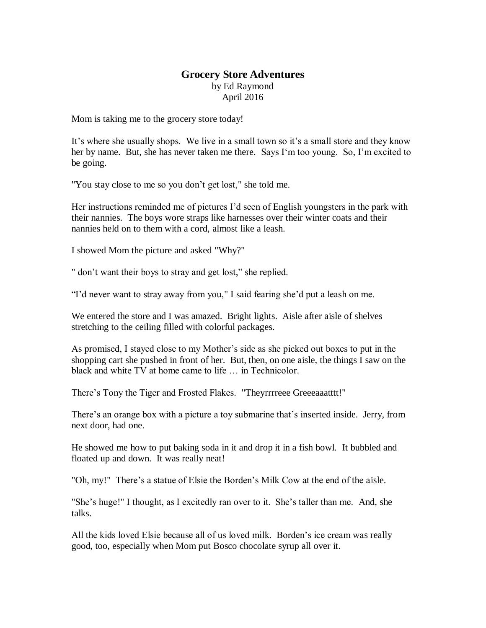## **Grocery Store Adventures**  by Ed Raymond April 2016

Mom is taking me to the grocery store today!

It's where she usually shops. We live in a small town so it's a small store and they know her by name. But, she has never taken me there. Says I'm too young. So, I'm excited to be going.

"You stay close to me so you don't get lost," she told me.

Her instructions reminded me of pictures I'd seen of English youngsters in the park with their nannies. The boys wore straps like harnesses over their winter coats and their nannies held on to them with a cord, almost like a leash.

I showed Mom the picture and asked "Why?"

" don't want their boys to stray and get lost," she replied.

"I'd never want to stray away from you," I said fearing she'd put a leash on me.

We entered the store and I was amazed. Bright lights. Aisle after aisle of shelves stretching to the ceiling filled with colorful packages.

As promised, I stayed close to my Mother's side as she picked out boxes to put in the shopping cart she pushed in front of her. But, then, on one aisle, the things I saw on the black and white TV at home came to life … in Technicolor.

There's Tony the Tiger and Frosted Flakes. "Theyrrrreee Greeeaaatttt!"

There's an orange box with a picture a toy submarine that's inserted inside. Jerry, from next door, had one.

He showed me how to put baking soda in it and drop it in a fish bowl. It bubbled and floated up and down. It was really neat!

"Oh, my!" There's a statue of Elsie the Borden's Milk Cow at the end of the aisle.

"She's huge!" I thought, as I excitedly ran over to it. She's taller than me. And, she talks.

All the kids loved Elsie because all of us loved milk. Borden's ice cream was really good, too, especially when Mom put Bosco chocolate syrup all over it.